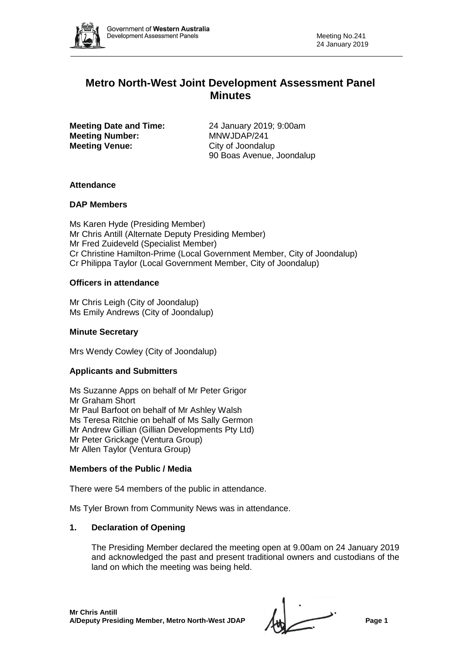

# **Metro North-West Joint Development Assessment Panel Minutes**

**Meeting Number:** MNWJDAP/241 **Meeting Venue:** City of Joondalup

**Meeting Date and Time:** 24 January 2019; 9:00am 90 Boas Avenue, Joondalup

# **Attendance**

# **DAP Members**

Ms Karen Hyde (Presiding Member) Mr Chris Antill (Alternate Deputy Presiding Member) Mr Fred Zuideveld (Specialist Member) Cr Christine Hamilton-Prime (Local Government Member, City of Joondalup) Cr Philippa Taylor (Local Government Member, City of Joondalup)

# **Officers in attendance**

Mr Chris Leigh (City of Joondalup) Ms Emily Andrews (City of Joondalup)

# **Minute Secretary**

Mrs Wendy Cowley (City of Joondalup)

# **Applicants and Submitters**

Ms Suzanne Apps on behalf of Mr Peter Grigor Mr Graham Short Mr Paul Barfoot on behalf of Mr Ashley Walsh Ms Teresa Ritchie on behalf of Ms Sally Germon Mr Andrew Gillian (Gillian Developments Pty Ltd) Mr Peter Grickage (Ventura Group) Mr Allen Taylor (Ventura Group)

# **Members of the Public / Media**

There were 54 members of the public in attendance.

Ms Tyler Brown from Community News was in attendance.

# **1. Declaration of Opening**

The Presiding Member declared the meeting open at 9.00am on 24 January 2019 and acknowledged the past and present traditional owners and custodians of the land on which the meeting was being held.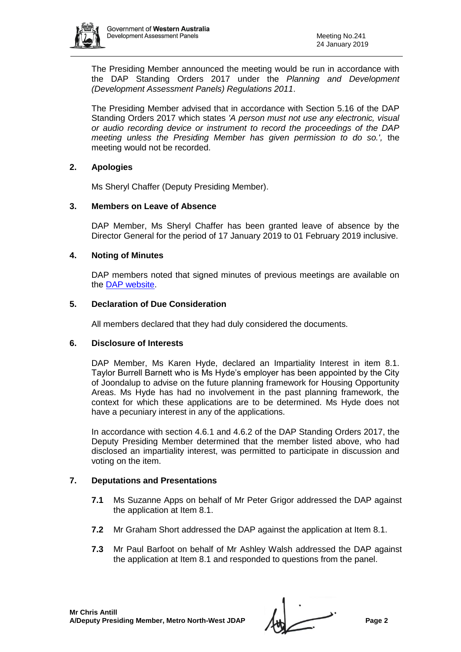

The Presiding Member announced the meeting would be run in accordance with the DAP Standing Orders 2017 under the *Planning and Development (Development Assessment Panels) Regulations 2011*.

The Presiding Member advised that in accordance with Section 5.16 of the DAP Standing Orders 2017 which states *'A person must not use any electronic, visual or audio recording device or instrument to record the proceedings of the DAP meeting unless the Presiding Member has given permission to do so.',* the meeting would not be recorded.

# **2. Apologies**

Ms Sheryl Chaffer (Deputy Presiding Member).

# **3. Members on Leave of Absence**

DAP Member, Ms Sheryl Chaffer has been granted leave of absence by the Director General for the period of 17 January 2019 to 01 February 2019 inclusive.

# **4. Noting of Minutes**

DAP members noted that signed minutes of previous meetings are available on the [DAP website.](https://www.dplh.wa.gov.au/about/development-assessment-panels/daps-agendas-and-minutes)

# **5. Declaration of Due Consideration**

All members declared that they had duly considered the documents.

# **6. Disclosure of Interests**

DAP Member, Ms Karen Hyde, declared an Impartiality Interest in item 8.1. Taylor Burrell Barnett who is Ms Hyde's employer has been appointed by the City of Joondalup to advise on the future planning framework for Housing Opportunity Areas. Ms Hyde has had no involvement in the past planning framework, the context for which these applications are to be determined. Ms Hyde does not have a pecuniary interest in any of the applications.

In accordance with section 4.6.1 and 4.6.2 of the DAP Standing Orders 2017, the Deputy Presiding Member determined that the member listed above, who had disclosed an impartiality interest, was permitted to participate in discussion and voting on the item.

# **7. Deputations and Presentations**

- **7.1** Ms Suzanne Apps on behalf of Mr Peter Grigor addressed the DAP against the application at Item 8.1.
- **7.2** Mr Graham Short addressed the DAP against the application at Item 8.1.
- **7.3** Mr Paul Barfoot on behalf of Mr Ashley Walsh addressed the DAP against the application at Item 8.1 and responded to questions from the panel.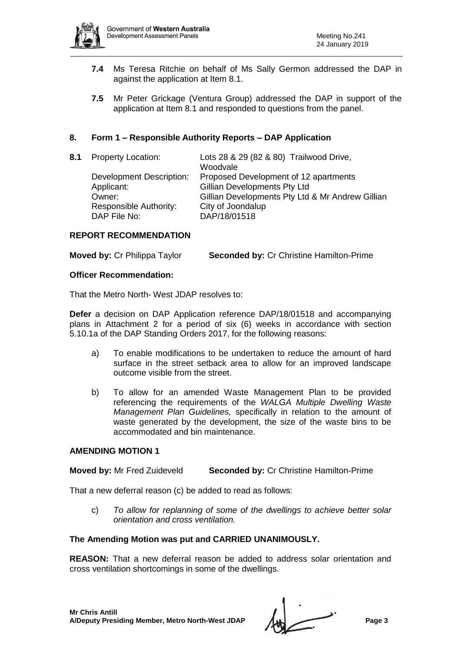

- **7.4** Ms Teresa Ritchie on behalf of Ms Sally Germon addressed the DAP in against the application at Item 8.1.
- **7.5** Mr Peter Grickage (Ventura Group) addressed the DAP in support of the application at Item 8.1 and responded to questions from the panel.

# **8. Form 1 – Responsible Authority Reports – DAP Application**

| 8.1 | <b>Property Location:</b>                     | Lots 28 & 29 (82 & 80) Trailwood Drive,<br>Woodvale                          |
|-----|-----------------------------------------------|------------------------------------------------------------------------------|
|     | <b>Development Description:</b><br>Applicant: | Proposed Development of 12 apartments<br><b>Gillian Developments Pty Ltd</b> |
|     | Owner:<br>Responsible Authority:              | Gillian Developments Pty Ltd & Mr Andrew Gillian<br>City of Joondalup        |
|     | DAP File No:                                  | DAP/18/01518                                                                 |

#### **REPORT RECOMMENDATION**

|  | <b>Moved by: Cr Philippa Taylor</b> | <b>Seconded by: Cr Christine Hamilton-Prime</b> |  |
|--|-------------------------------------|-------------------------------------------------|--|
|--|-------------------------------------|-------------------------------------------------|--|

#### **Officer Recommendation:**

That the Metro North- West JDAP resolves to:

**Defer** a decision on DAP Application reference DAP/18/01518 and accompanying plans in Attachment 2 for a period of six (6) weeks in accordance with section 5.10.1a of the DAP Standing Orders 2017, for the following reasons:

- a) To enable modifications to be undertaken to reduce the amount of hard surface in the street setback area to allow for an improved landscape outcome visible from the street.
- b) To allow for an amended Waste Management Plan to be provided referencing the requirements of the *WALGA Multiple Dwelling Waste Management Plan Guidelines,* specifically in relation to the amount of waste generated by the development, the size of the waste bins to be accommodated and bin maintenance.

#### **AMENDING MOTION 1**

# **Moved by:** Mr Fred Zuideveld **Seconded by:** Cr Christine Hamilton-Prime

That a new deferral reason (c) be added to read as follows:

c) *To allow for replanning of some of the dwellings to achieve better solar orientation and cross ventilation.*

# **The Amending Motion was put and CARRIED UNANIMOUSLY.**

**REASON:** That a new deferral reason be added to address solar orientation and cross ventilation shortcomings in some of the dwellings.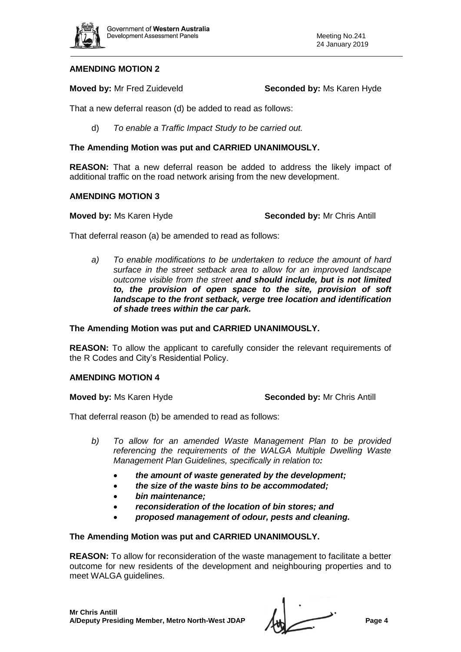

# **AMENDING MOTION 2**

**Moved by:** Mr Fred Zuideveld **Seconded by:** Ms Karen Hyde

That a new deferral reason (d) be added to read as follows:

d) *To enable a Traffic Impact Study to be carried out.*

# **The Amending Motion was put and CARRIED UNANIMOUSLY.**

**REASON:** That a new deferral reason be added to address the likely impact of additional traffic on the road network arising from the new development.

# **AMENDING MOTION 3**

**Moved by:** Ms Karen Hyde **Seconded by:** Mr Chris Antill

That deferral reason (a) be amended to read as follows:

*a) To enable modifications to be undertaken to reduce the amount of hard surface in the street setback area to allow for an improved landscape outcome visible from the street and should include, but is not limited to, the provision of open space to the site, provision of soft landscape to the front setback, verge tree location and identification of shade trees within the car park.*

# **The Amending Motion was put and CARRIED UNANIMOUSLY.**

**REASON:** To allow the applicant to carefully consider the relevant requirements of the R Codes and City's Residential Policy.

# **AMENDING MOTION 4**

**Moved by:** Ms Karen Hyde **Seconded by:** Mr Chris Antill

That deferral reason (b) be amended to read as follows:

- *b) To allow for an amended Waste Management Plan to be provided referencing the requirements of the WALGA Multiple Dwelling Waste Management Plan Guidelines, specifically in relation to:*
	- *the amount of waste generated by the development;*
	- *the size of the waste bins to be accommodated;*
	- *bin maintenance;*
	- *reconsideration of the location of bin stores; and*
	- *proposed management of odour, pests and cleaning.*

**The Amending Motion was put and CARRIED UNANIMOUSLY.** 

**REASON:** To allow for reconsideration of the waste management to facilitate a better outcome for new residents of the development and neighbouring properties and to meet WALGA guidelines.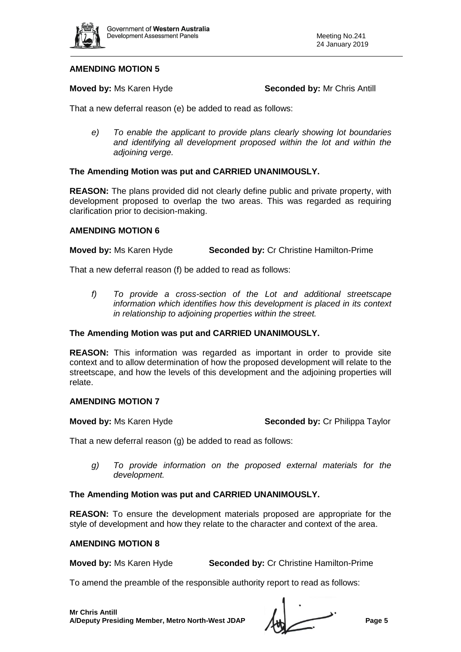

# **AMENDING MOTION 5**

**Moved by: Ms Karen Hyde <b>Seconded by:** Mr Chris Antill

That a new deferral reason (e) be added to read as follows:

*e) To enable the applicant to provide plans clearly showing lot boundaries and identifying all development proposed within the lot and within the adjoining verge.*

# **The Amending Motion was put and CARRIED UNANIMOUSLY.**

**REASON:** The plans provided did not clearly define public and private property, with development proposed to overlap the two areas. This was regarded as requiring clarification prior to decision-making.

# **AMENDING MOTION 6**

**Moved by:** Ms Karen Hyde **Seconded by:** Cr Christine Hamilton-Prime

That a new deferral reason (f) be added to read as follows:

*f) To provide a cross-section of the Lot and additional streetscape information which identifies how this development is placed in its context in relationship to adjoining properties within the street.*

# **The Amending Motion was put and CARRIED UNANIMOUSLY.**

**REASON:** This information was regarded as important in order to provide site context and to allow determination of how the proposed development will relate to the streetscape, and how the levels of this development and the adjoining properties will relate.

# **AMENDING MOTION 7**

**Moved by:** Ms Karen Hyde **Seconded by:** Cr Philippa Taylor

That a new deferral reason (g) be added to read as follows:

*g) To provide information on the proposed external materials for the development.*

# **The Amending Motion was put and CARRIED UNANIMOUSLY.**

**REASON:** To ensure the development materials proposed are appropriate for the style of development and how they relate to the character and context of the area.

#### **AMENDING MOTION 8**

**Moved by:** Ms Karen Hyde **Seconded by:** Cr Christine Hamilton-Prime

To amend the preamble of the responsible authority report to read as follows: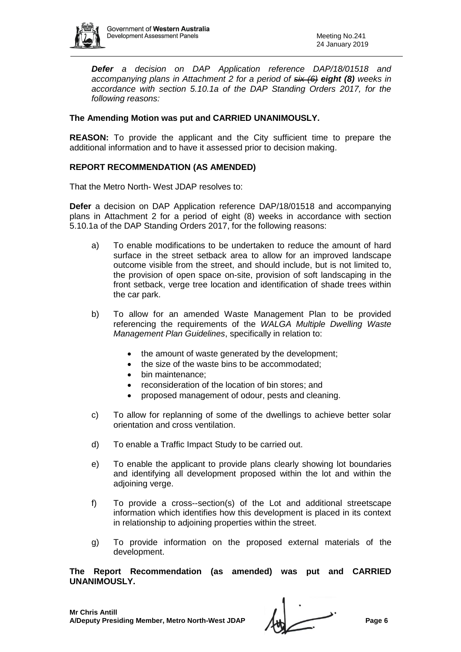

*Defer a decision on DAP Application reference DAP/18/01518 and accompanying plans in Attachment 2 for a period of six (6) eight (8) weeks in accordance with section 5.10.1a of the DAP Standing Orders 2017, for the following reasons:*

# **The Amending Motion was put and CARRIED UNANIMOUSLY.**

**REASON:** To provide the applicant and the City sufficient time to prepare the additional information and to have it assessed prior to decision making.

#### **REPORT RECOMMENDATION (AS AMENDED)**

That the Metro North- West JDAP resolves to:

**Defer** a decision on DAP Application reference DAP/18/01518 and accompanying plans in Attachment 2 for a period of eight (8) weeks in accordance with section 5.10.1a of the DAP Standing Orders 2017, for the following reasons:

- a) To enable modifications to be undertaken to reduce the amount of hard surface in the street setback area to allow for an improved landscape outcome visible from the street, and should include, but is not limited to, the provision of open space on-site, provision of soft landscaping in the front setback, verge tree location and identification of shade trees within the car park.
- b) To allow for an amended Waste Management Plan to be provided referencing the requirements of the *WALGA Multiple Dwelling Waste Management Plan Guidelines*, specifically in relation to:
	- the amount of waste generated by the development;
	- the size of the waste bins to be accommodated;
	- bin maintenance:
	- reconsideration of the location of bin stores; and
	- proposed management of odour, pests and cleaning.
- c) To allow for replanning of some of the dwellings to achieve better solar orientation and cross ventilation.
- d) To enable a Traffic Impact Study to be carried out.
- e) To enable the applicant to provide plans clearly showing lot boundaries and identifying all development proposed within the lot and within the adjoining verge.
- f) To provide a cross--section(s) of the Lot and additional streetscape information which identifies how this development is placed in its context in relationship to adjoining properties within the street.
- g) To provide information on the proposed external materials of the development.

**The Report Recommendation (as amended) was put and CARRIED UNANIMOUSLY.**